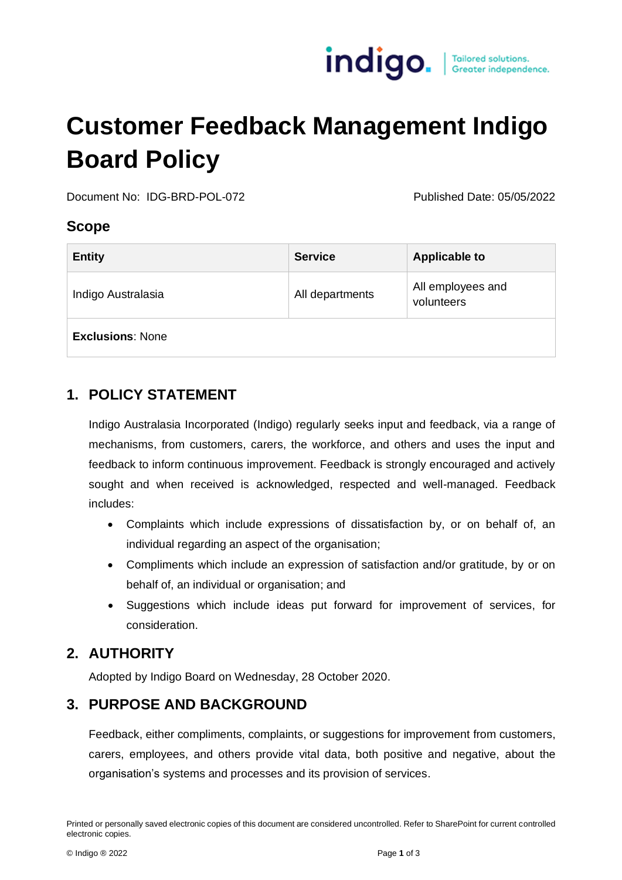

# **Customer Feedback Management Indigo Board Policy**

Document No: IDG-BRD-POL-072 Published Date: 05/05/2022

#### **Scope**

| <b>Entity</b>           | <b>Service</b>  | <b>Applicable to</b>            |
|-------------------------|-----------------|---------------------------------|
| Indigo Australasia      | All departments | All employees and<br>volunteers |
| <b>Exclusions: None</b> |                 |                                 |

# **1. POLICY STATEMENT**

Indigo Australasia Incorporated (Indigo) regularly seeks input and feedback, via a range of mechanisms, from customers, carers, the workforce, and others and uses the input and feedback to inform continuous improvement. Feedback is strongly encouraged and actively sought and when received is acknowledged, respected and well-managed. Feedback includes:

- Complaints which include expressions of dissatisfaction by, or on behalf of, an individual regarding an aspect of the organisation;
- Compliments which include an expression of satisfaction and/or gratitude, by or on behalf of, an individual or organisation; and
- Suggestions which include ideas put forward for improvement of services, for consideration.

# **2. AUTHORITY**

Adopted by Indigo Board on Wednesday, 28 October 2020.

# **3. PURPOSE AND BACKGROUND**

Feedback, either compliments, complaints, or suggestions for improvement from customers, carers, employees, and others provide vital data, both positive and negative, about the organisation's systems and processes and its provision of services.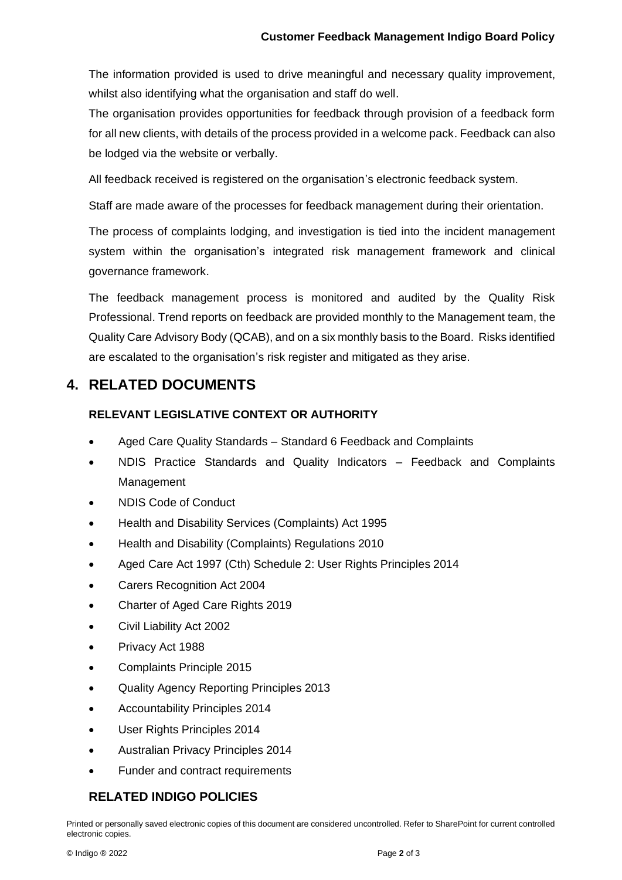The information provided is used to drive meaningful and necessary quality improvement, whilst also identifying what the organisation and staff do well.

The organisation provides opportunities for feedback through provision of a feedback form for all new clients, with details of the process provided in a welcome pack. Feedback can also be lodged via the website or verbally.

All feedback received is registered on the organisation's electronic feedback system.

Staff are made aware of the processes for feedback management during their orientation.

The process of complaints lodging, and investigation is tied into the incident management system within the organisation's integrated risk management framework and clinical governance framework.

The feedback management process is monitored and audited by the Quality Risk Professional. Trend reports on feedback are provided monthly to the Management team, the Quality Care Advisory Body (QCAB), and on a six monthly basis to the Board. Risks identified are escalated to the organisation's risk register and mitigated as they arise.

## **4. RELATED DOCUMENTS**

#### **RELEVANT LEGISLATIVE CONTEXT OR AUTHORITY**

- Aged Care Quality Standards Standard 6 Feedback and Complaints
- NDIS Practice Standards and Quality Indicators Feedback and Complaints Management
- NDIS Code of Conduct
- Health and Disability Services (Complaints) Act 1995
- Health and Disability (Complaints) Regulations 2010
- Aged Care Act 1997 (Cth) Schedule 2: User Rights Principles 2014
- Carers Recognition Act 2004
- Charter of Aged Care Rights 2019
- Civil Liability Act 2002
- Privacy Act 1988
- Complaints Principle 2015
- Quality Agency Reporting Principles 2013
- Accountability Principles 2014
- User Rights Principles 2014
- Australian Privacy Principles 2014
- Funder and contract requirements

#### **RELATED INDIGO POLICIES**

Printed or personally saved electronic copies of this document are considered uncontrolled. Refer to SharePoint for current controlled electronic copies.